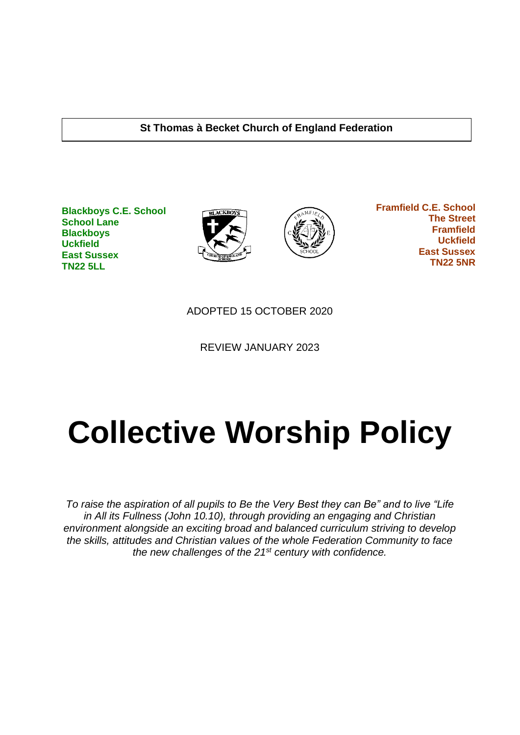#### **St Thomas à Becket Church of England Federation**

**Blackboys C.E. School School Lane Blackboys Uckfield East Sussex TN22 5LL**





 **Framfield C.E. School The Street Framfield Uckfield East Sussex TN22 5NR**

ADOPTED 15 OCTOBER 2020

REVIEW JANUARY 2023

# **Collective Worship Policy**

*To raise the aspiration of all pupils to Be the Very Best they can Be" and to live "Life in All its Fullness (John 10.10), through providing an engaging and Christian environment alongside an exciting broad and balanced curriculum striving to develop the skills, attitudes and Christian values of the whole Federation Community to face the new challenges of the 21st century with confidence.*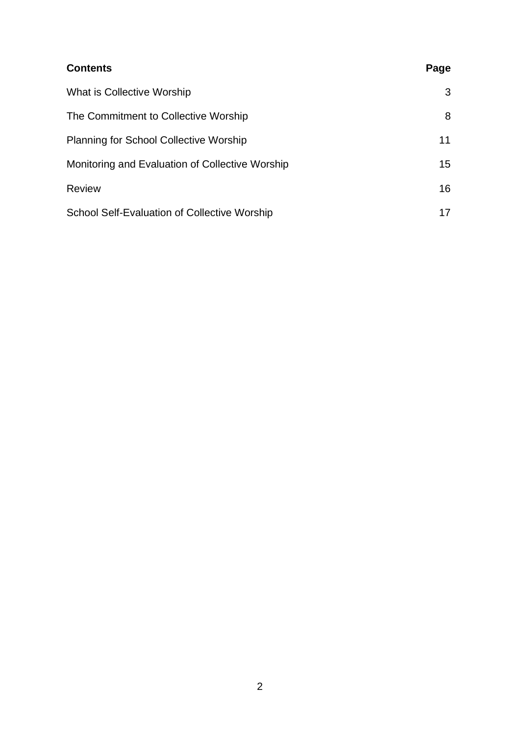| <b>Contents</b>                                     | Page |
|-----------------------------------------------------|------|
| What is Collective Worship                          | 3    |
| The Commitment to Collective Worship                | 8    |
| <b>Planning for School Collective Worship</b>       | 11   |
| Monitoring and Evaluation of Collective Worship     | 15   |
| <b>Review</b>                                       | 16   |
| <b>School Self-Evaluation of Collective Worship</b> | 17   |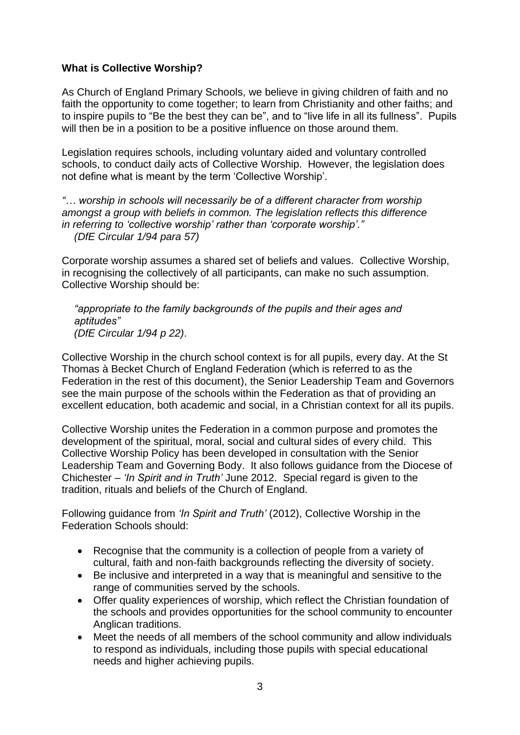#### **What is Collective Worship?**

As Church of England Primary Schools, we believe in giving children of faith and no faith the opportunity to come together; to learn from Christianity and other faiths; and to inspire pupils to "Be the best they can be", and to "live life in all its fullness". Pupils will then be in a position to be a positive influence on those around them.

Legislation requires schools, including voluntary aided and voluntary controlled schools, to conduct daily acts of Collective Worship. However, the legislation does not define what is meant by the term 'Collective Worship'.

*"… worship in schools will necessarily be of a different character from worship amongst a group with beliefs in common. The legislation reflects this difference in referring to 'collective worship' rather than 'corporate worship'." (DfE Circular 1/94 para 57)*

Corporate worship assumes a shared set of beliefs and values. Collective Worship, in recognising the collectively of all participants, can make no such assumption. Collective Worship should be:

*"appropriate to the family backgrounds of the pupils and their ages and aptitudes" (DfE Circular 1/94 p 22)*.

Collective Worship in the church school context is for all pupils, every day. At the St Thomas à Becket Church of England Federation (which is referred to as the Federation in the rest of this document), the Senior Leadership Team and Governors see the main purpose of the schools within the Federation as that of providing an excellent education, both academic and social, in a Christian context for all its pupils.

Collective Worship unites the Federation in a common purpose and promotes the development of the spiritual, moral, social and cultural sides of every child. This Collective Worship Policy has been developed in consultation with the Senior Leadership Team and Governing Body. It also follows guidance from the Diocese of Chichester – *'In Spirit and in Truth'* June 2012. Special regard is given to the tradition, rituals and beliefs of the Church of England.

Following guidance from *'In Spirit and Truth'* (2012), Collective Worship in the Federation Schools should:

- Recognise that the community is a collection of people from a variety of cultural, faith and non-faith backgrounds reflecting the diversity of society.
- Be inclusive and interpreted in a way that is meaningful and sensitive to the range of communities served by the schools.
- Offer quality experiences of worship, which reflect the Christian foundation of the schools and provides opportunities for the school community to encounter Anglican traditions.
- Meet the needs of all members of the school community and allow individuals to respond as individuals, including those pupils with special educational needs and higher achieving pupils.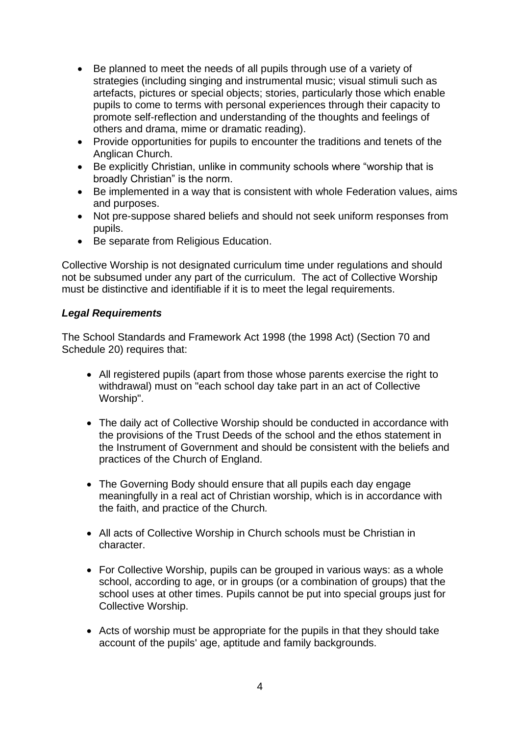- Be planned to meet the needs of all pupils through use of a variety of strategies (including singing and instrumental music; visual stimuli such as artefacts, pictures or special objects; stories, particularly those which enable pupils to come to terms with personal experiences through their capacity to promote self-reflection and understanding of the thoughts and feelings of others and drama, mime or dramatic reading).
- Provide opportunities for pupils to encounter the traditions and tenets of the Anglican Church.
- Be explicitly Christian, unlike in community schools where "worship that is broadly Christian" is the norm.
- Be implemented in a way that is consistent with whole Federation values, aims and purposes.
- Not pre-suppose shared beliefs and should not seek uniform responses from pupils.
- Be separate from Religious Education.

Collective Worship is not designated curriculum time under regulations and should not be subsumed under any part of the curriculum. The act of Collective Worship must be distinctive and identifiable if it is to meet the legal requirements.

## *Legal Requirements*

The School Standards and Framework Act 1998 (the 1998 Act) (Section 70 and Schedule 20) requires that:

- All registered pupils (apart from those whose parents exercise the right to withdrawal) must on "each school day take part in an act of Collective Worship".
- The daily act of Collective Worship should be conducted in accordance with the provisions of the Trust Deeds of the school and the ethos statement in the Instrument of Government and should be consistent with the beliefs and practices of the Church of England.
- The Governing Body should ensure that all pupils each day engage meaningfully in a real act of Christian worship, which is in accordance with the faith, and practice of the Church*.*
- All acts of Collective Worship in Church schools must be Christian in character.
- For Collective Worship, pupils can be grouped in various ways: as a whole school, according to age, or in groups (or a combination of groups) that the school uses at other times. Pupils cannot be put into special groups just for Collective Worship.
- Acts of worship must be appropriate for the pupils in that they should take account of the pupils' age, aptitude and family backgrounds.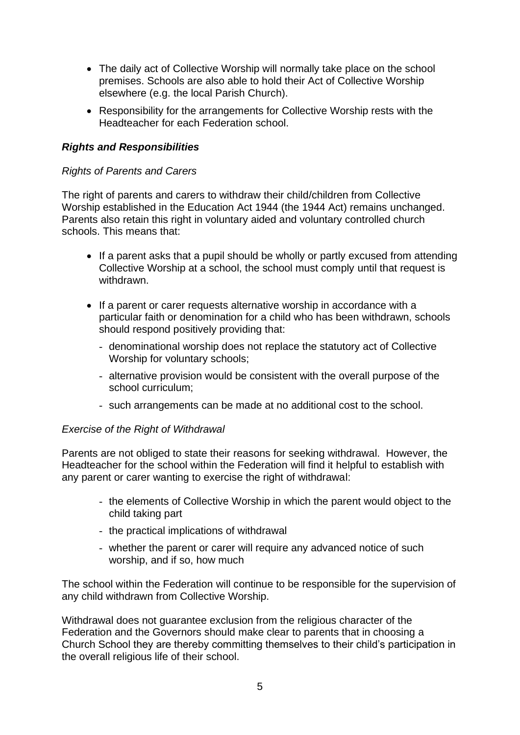- The daily act of Collective Worship will normally take place on the school premises. Schools are also able to hold their Act of Collective Worship elsewhere (e.g. the local Parish Church).
- Responsibility for the arrangements for Collective Worship rests with the Headteacher for each Federation school.

## *Rights and Responsibilities*

## *Rights of Parents and Carers*

The right of parents and carers to withdraw their child/children from Collective Worship established in the Education Act 1944 (the 1944 Act) remains unchanged. Parents also retain this right in voluntary aided and voluntary controlled church schools. This means that:

- If a parent asks that a pupil should be wholly or partly excused from attending Collective Worship at a school, the school must comply until that request is withdrawn.
- If a parent or carer requests alternative worship in accordance with a particular faith or denomination for a child who has been withdrawn, schools should respond positively providing that:
	- denominational worship does not replace the statutory act of Collective Worship for voluntary schools;
	- alternative provision would be consistent with the overall purpose of the school curriculum;
	- such arrangements can be made at no additional cost to the school.

#### *Exercise of the Right of Withdrawal*

Parents are not obliged to state their reasons for seeking withdrawal. However, the Headteacher for the school within the Federation will find it helpful to establish with any parent or carer wanting to exercise the right of withdrawal:

- the elements of Collective Worship in which the parent would object to the child taking part
- the practical implications of withdrawal
- whether the parent or carer will require any advanced notice of such worship, and if so, how much

The school within the Federation will continue to be responsible for the supervision of any child withdrawn from Collective Worship.

Withdrawal does not guarantee exclusion from the religious character of the Federation and the Governors should make clear to parents that in choosing a Church School they are thereby committing themselves to their child's participation in the overall religious life of their school.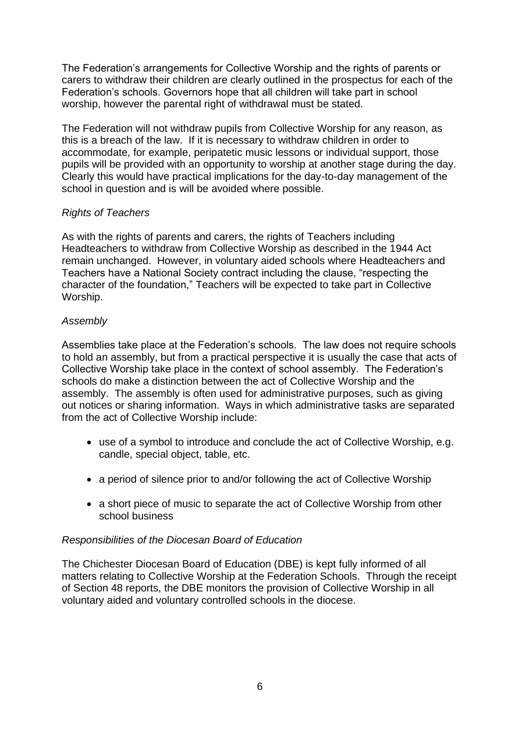The Federation's arrangements for Collective Worship and the rights of parents or carers to withdraw their children are clearly outlined in the prospectus for each of the Federation's schools. Governors hope that all children will take part in school worship, however the parental right of withdrawal must be stated.

The Federation will not withdraw pupils from Collective Worship for any reason, as this is a breach of the law. If it is necessary to withdraw children in order to accommodate, for example, peripatetic music lessons or individual support, those pupils will be provided with an opportunity to worship at another stage during the day. Clearly this would have practical implications for the day-to-day management of the school in question and is will be avoided where possible.

## *Rights of Teachers*

As with the rights of parents and carers, the rights of Teachers including Headteachers to withdraw from Collective Worship as described in the 1944 Act remain unchanged. However, in voluntary aided schools where Headteachers and Teachers have a National Society contract including the clause, "respecting the character of the foundation," Teachers will be expected to take part in Collective Worship.

## *Assembly*

Assemblies take place at the Federation's schools. The law does not require schools to hold an assembly, but from a practical perspective it is usually the case that acts of Collective Worship take place in the context of school assembly. The Federation's schools do make a distinction between the act of Collective Worship and the assembly. The assembly is often used for administrative purposes, such as giving out notices or sharing information. Ways in which administrative tasks are separated from the act of Collective Worship include:

- use of a symbol to introduce and conclude the act of Collective Worship, e.g. candle, special object, table, etc.
- a period of silence prior to and/or following the act of Collective Worship
- a short piece of music to separate the act of Collective Worship from other school business

#### *Responsibilities of the Diocesan Board of Education*

The Chichester Diocesan Board of Education (DBE) is kept fully informed of all matters relating to Collective Worship at the Federation Schools. Through the receipt of Section 48 reports, the DBE monitors the provision of Collective Worship in all voluntary aided and voluntary controlled schools in the diocese.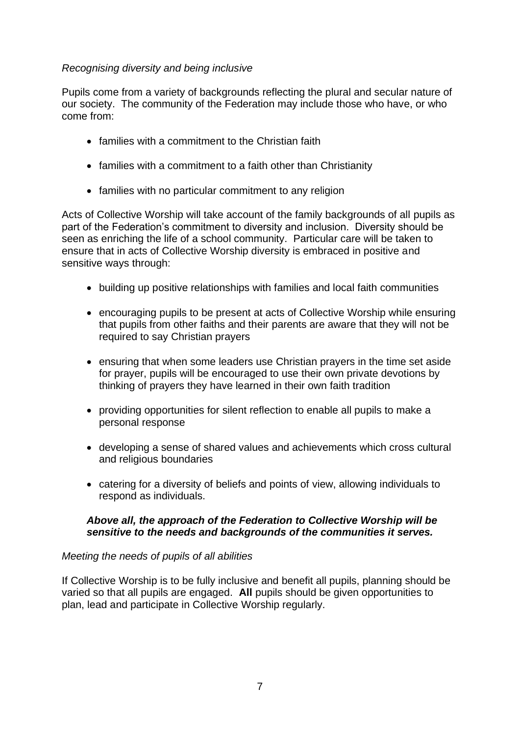## *Recognising diversity and being inclusive*

Pupils come from a variety of backgrounds reflecting the plural and secular nature of our society. The community of the Federation may include those who have, or who come from:

- families with a commitment to the Christian faith
- families with a commitment to a faith other than Christianity
- families with no particular commitment to any religion

Acts of Collective Worship will take account of the family backgrounds of all pupils as part of the Federation's commitment to diversity and inclusion. Diversity should be seen as enriching the life of a school community. Particular care will be taken to ensure that in acts of Collective Worship diversity is embraced in positive and sensitive ways through:

- building up positive relationships with families and local faith communities
- encouraging pupils to be present at acts of Collective Worship while ensuring that pupils from other faiths and their parents are aware that they will not be required to say Christian prayers
- ensuring that when some leaders use Christian prayers in the time set aside for prayer, pupils will be encouraged to use their own private devotions by thinking of prayers they have learned in their own faith tradition
- providing opportunities for silent reflection to enable all pupils to make a personal response
- developing a sense of shared values and achievements which cross cultural and religious boundaries
- catering for a diversity of beliefs and points of view, allowing individuals to respond as individuals.

#### *Above all, the approach of the Federation to Collective Worship will be sensitive to the needs and backgrounds of the communities it serves.*

#### *Meeting the needs of pupils of all abilities*

If Collective Worship is to be fully inclusive and benefit all pupils, planning should be varied so that all pupils are engaged. **All** pupils should be given opportunities to plan, lead and participate in Collective Worship regularly.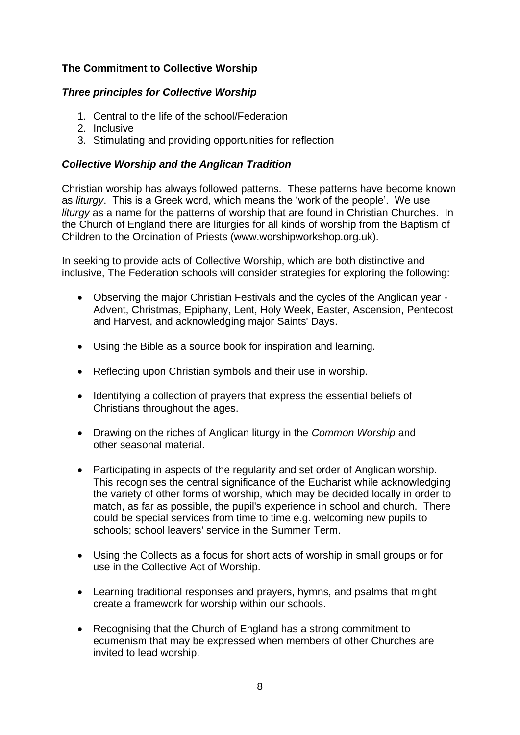# **The Commitment to Collective Worship**

## *Three principles for Collective Worship*

- 1. Central to the life of the school/Federation
- 2. Inclusive
- 3. Stimulating and providing opportunities for reflection

## *Collective Worship and the Anglican Tradition*

Christian worship has always followed patterns. These patterns have become known as *liturgy*. This is a Greek word, which means the 'work of the people'. We use *liturgy* as a name for the patterns of worship that are found in Christian Churches. In the Church of England there are liturgies for all kinds of worship from the Baptism of Children to the Ordination of Priests (www.worshipworkshop.org.uk).

In seeking to provide acts of Collective Worship, which are both distinctive and inclusive, The Federation schools will consider strategies for exploring the following:

- Observing the major Christian Festivals and the cycles of the Anglican year Advent, Christmas, Epiphany, Lent, Holy Week, Easter, Ascension, Pentecost and Harvest, and acknowledging major Saints' Days.
- Using the Bible as a source book for inspiration and learning.
- Reflecting upon Christian symbols and their use in worship.
- Identifying a collection of prayers that express the essential beliefs of Christians throughout the ages.
- Drawing on the riches of Anglican liturgy in the *Common Worship* and other seasonal material.
- Participating in aspects of the regularity and set order of Anglican worship. This recognises the central significance of the Eucharist while acknowledging the variety of other forms of worship, which may be decided locally in order to match, as far as possible, the pupil's experience in school and church. There could be special services from time to time e.g. welcoming new pupils to schools; school leavers' service in the Summer Term.
- Using the Collects as a focus for short acts of worship in small groups or for use in the Collective Act of Worship.
- Learning traditional responses and prayers, hymns, and psalms that might create a framework for worship within our schools.
- Recognising that the Church of England has a strong commitment to ecumenism that may be expressed when members of other Churches are invited to lead worship.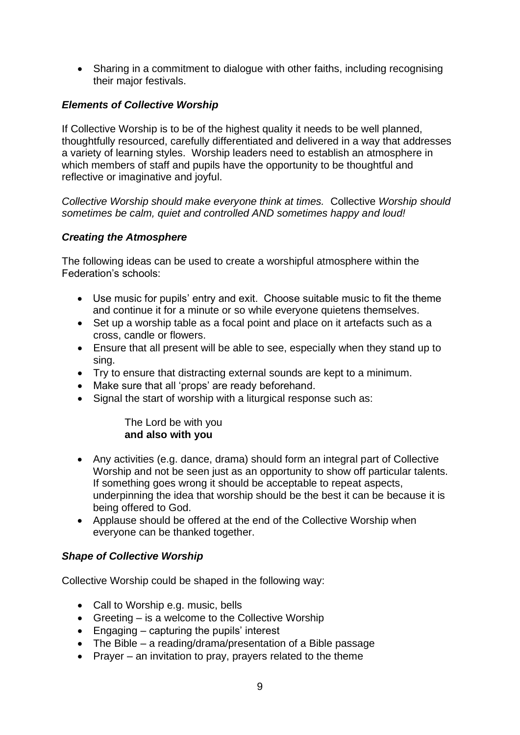• Sharing in a commitment to dialogue with other faiths, including recognising their major festivals.

# *Elements of Collective Worship*

If Collective Worship is to be of the highest quality it needs to be well planned, thoughtfully resourced, carefully differentiated and delivered in a way that addresses a variety of learning styles. Worship leaders need to establish an atmosphere in which members of staff and pupils have the opportunity to be thoughtful and reflective or imaginative and joyful.

*Collective Worship should make everyone think at times.* Collective *Worship should sometimes be calm, quiet and controlled AND sometimes happy and loud!* 

## *Creating the Atmosphere*

The following ideas can be used to create a worshipful atmosphere within the Federation's schools:

- Use music for pupils' entry and exit. Choose suitable music to fit the theme and continue it for a minute or so while everyone quietens themselves.
- Set up a worship table as a focal point and place on it artefacts such as a cross, candle or flowers.
- Ensure that all present will be able to see, especially when they stand up to sing.
- Try to ensure that distracting external sounds are kept to a minimum.
- Make sure that all 'props' are ready beforehand.
- Signal the start of worship with a liturgical response such as:

#### The Lord be with you **and also with you**

- Any activities (e.g. dance, drama) should form an integral part of Collective Worship and not be seen just as an opportunity to show off particular talents. If something goes wrong it should be acceptable to repeat aspects, underpinning the idea that worship should be the best it can be because it is being offered to God.
- Applause should be offered at the end of the Collective Worship when everyone can be thanked together.

## *Shape of Collective Worship*

Collective Worship could be shaped in the following way:

- Call to Worship e.g. music, bells
- Greeting is a welcome to the Collective Worship
- Engaging capturing the pupils' interest
- The Bible a reading/drama/presentation of a Bible passage
- Prayer an invitation to pray, prayers related to the theme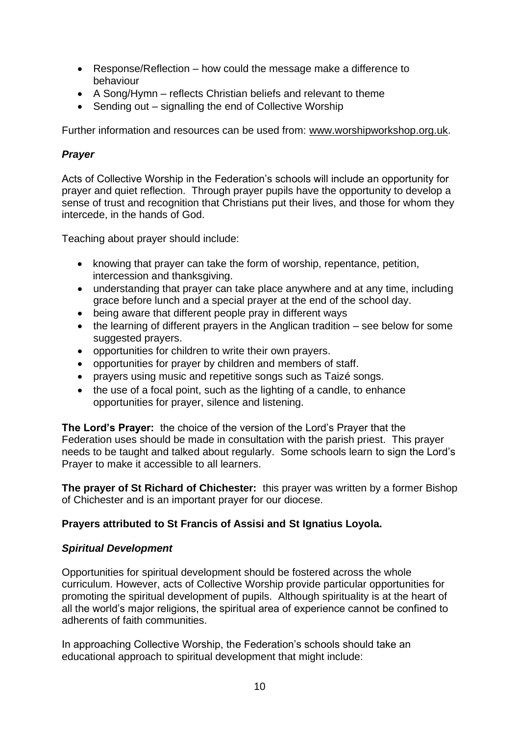- Response/Reflection how could the message make a difference to behaviour
- A Song/Hymn reflects Christian beliefs and relevant to theme
- Sending out signalling the end of Collective Worship

Further information and resources can be used from: [www.worshipworkshop.org.uk.](http://www.worshipworkshop.org.uk/)

# *Prayer*

Acts of Collective Worship in the Federation's schools will include an opportunity for prayer and quiet reflection. Through prayer pupils have the opportunity to develop a sense of trust and recognition that Christians put their lives, and those for whom they intercede, in the hands of God.

Teaching about prayer should include:

- knowing that prayer can take the form of worship, repentance, petition, intercession and thanksgiving.
- understanding that prayer can take place anywhere and at any time, including grace before lunch and a special prayer at the end of the school day.
- being aware that different people pray in different ways
- the learning of different prayers in the Anglican tradition see below for some suggested prayers.
- opportunities for children to write their own prayers.
- opportunities for prayer by children and members of staff.
- prayers using music and repetitive songs such as Taizé songs.
- the use of a focal point, such as the lighting of a candle, to enhance opportunities for prayer, silence and listening.

**The Lord's Prayer:** the choice of the version of the Lord's Prayer that the Federation uses should be made in consultation with the parish priest. This prayer needs to be taught and talked about regularly. Some schools learn to sign the Lord's Prayer to make it accessible to all learners.

**The prayer of St Richard of Chichester:** this prayer was written by a former Bishop of Chichester and is an important prayer for our diocese.

## **Prayers attributed to St Francis of Assisi and St Ignatius Loyola.**

## *Spiritual Development*

Opportunities for spiritual development should be fostered across the whole curriculum. However, acts of Collective Worship provide particular opportunities for promoting the spiritual development of pupils. Although spirituality is at the heart of all the world's major religions, the spiritual area of experience cannot be confined to adherents of faith communities.

In approaching Collective Worship, the Federation's schools should take an educational approach to spiritual development that might include: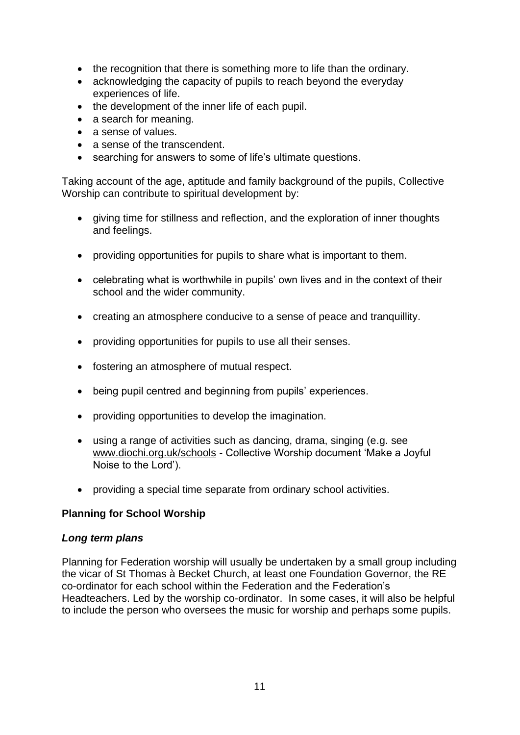- the recognition that there is something more to life than the ordinary.
- acknowledging the capacity of pupils to reach beyond the everyday experiences of life.
- the development of the inner life of each pupil.
- a search for meaning.
- a sense of values.
- a sense of the transcendent.
- searching for answers to some of life's ultimate questions.

Taking account of the age, aptitude and family background of the pupils, Collective Worship can contribute to spiritual development by:

- giving time for stillness and reflection, and the exploration of inner thoughts and feelings.
- providing opportunities for pupils to share what is important to them.
- celebrating what is worthwhile in pupils' own lives and in the context of their school and the wider community.
- creating an atmosphere conducive to a sense of peace and tranquillity.
- providing opportunities for pupils to use all their senses.
- fostering an atmosphere of mutual respect.
- being pupil centred and beginning from pupils' experiences.
- providing opportunities to develop the imagination.
- using a range of activities such as dancing, drama, singing (e.g. see [www.diochi.org.uk/schools](http://www.diochi.org.uk/schools) - Collective Worship document 'Make a Joyful Noise to the Lord').
- providing a special time separate from ordinary school activities.

#### **Planning for School Worship**

#### *Long term plans*

Planning for Federation worship will usually be undertaken by a small group including the vicar of St Thomas à Becket Church, at least one Foundation Governor, the RE co-ordinator for each school within the Federation and the Federation's Headteachers. Led by the worship co-ordinator. In some cases, it will also be helpful to include the person who oversees the music for worship and perhaps some pupils.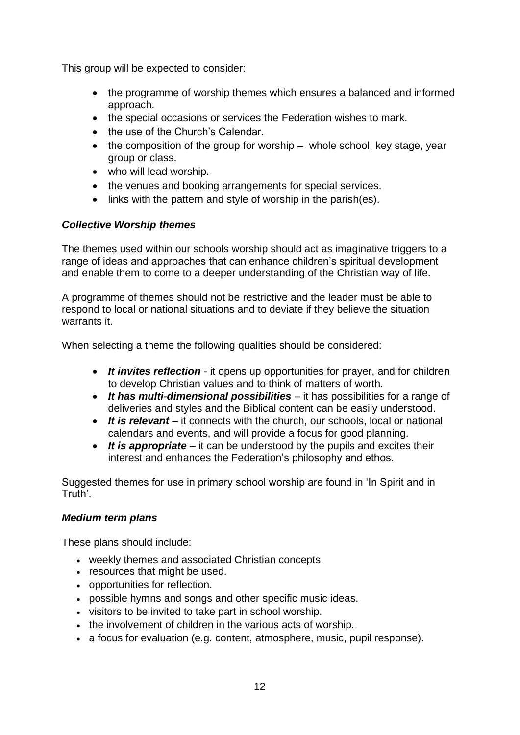This group will be expected to consider:

- the programme of worship themes which ensures a balanced and informed approach.
- the special occasions or services the Federation wishes to mark.
- the use of the Church's Calendar.
- $\bullet$  the composition of the group for worship whole school, key stage, year group or class.
- who will lead worship.
- the venues and booking arrangements for special services.
- links with the pattern and style of worship in the parish(es).

# *Collective Worship themes*

The themes used within our schools worship should act as imaginative triggers to a range of ideas and approaches that can enhance children's spiritual development and enable them to come to a deeper understanding of the Christian way of life.

A programme of themes should not be restrictive and the leader must be able to respond to local or national situations and to deviate if they believe the situation warrants it.

When selecting a theme the following qualities should be considered:

- *It invites reflection*  it opens up opportunities for prayer, and for children to develop Christian values and to think of matters of worth.
- *It has multi*-*dimensional possibilities* it has possibilities for a range of deliveries and styles and the Biblical content can be easily understood.
- *It is relevant* it connects with the church, our schools, local or national calendars and events, and will provide a focus for good planning.
- It is appropriate it can be understood by the pupils and excites their interest and enhances the Federation's philosophy and ethos.

Suggested themes for use in primary school worship are found in 'In Spirit and in Truth'.

## *Medium term plans*

These plans should include:

- weekly themes and associated Christian concepts.
- resources that might be used.
- opportunities for reflection.
- possible hymns and songs and other specific music ideas.
- visitors to be invited to take part in school worship.
- the involvement of children in the various acts of worship.
- a focus for evaluation (e.g. content, atmosphere, music, pupil response).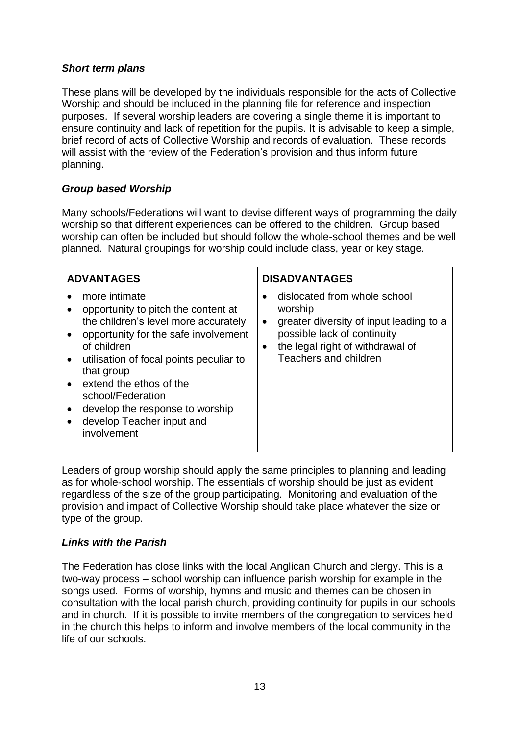## *Short term plans*

These plans will be developed by the individuals responsible for the acts of Collective Worship and should be included in the planning file for reference and inspection purposes. If several worship leaders are covering a single theme it is important to ensure continuity and lack of repetition for the pupils. It is advisable to keep a simple, brief record of acts of Collective Worship and records of evaluation. These records will assist with the review of the Federation's provision and thus inform future planning.

## *Group based Worship*

Many schools/Federations will want to devise different ways of programming the daily worship so that different experiences can be offered to the children. Group based worship can often be included but should follow the whole-school themes and be well planned. Natural groupings for worship could include class, year or key stage.

| <b>ADVANTAGES</b>                                                                                                                                                                                                                                                                                                                                                                                 | <b>DISADVANTAGES</b>                                                                                                                                                                                     |  |  |
|---------------------------------------------------------------------------------------------------------------------------------------------------------------------------------------------------------------------------------------------------------------------------------------------------------------------------------------------------------------------------------------------------|----------------------------------------------------------------------------------------------------------------------------------------------------------------------------------------------------------|--|--|
| more intimate<br>$\bullet$<br>opportunity to pitch the content at<br>the children's level more accurately<br>opportunity for the safe involvement<br>of children<br>utilisation of focal points peculiar to<br>$\bullet$<br>that group<br>• extend the ethos of the<br>school/Federation<br>develop the response to worship<br>$\bullet$<br>develop Teacher input and<br>$\bullet$<br>involvement | dislocated from whole school<br>worship<br>greater diversity of input leading to a<br>$\bullet$<br>possible lack of continuity<br>the legal right of withdrawal of<br>$\bullet$<br>Teachers and children |  |  |

Leaders of group worship should apply the same principles to planning and leading as for whole-school worship. The essentials of worship should be just as evident regardless of the size of the group participating. Monitoring and evaluation of the provision and impact of Collective Worship should take place whatever the size or type of the group.

#### *Links with the Parish*

The Federation has close links with the local Anglican Church and clergy. This is a two-way process – school worship can influence parish worship for example in the songs used. Forms of worship, hymns and music and themes can be chosen in consultation with the local parish church, providing continuity for pupils in our schools and in church. If it is possible to invite members of the congregation to services held in the church this helps to inform and involve members of the local community in the life of our schools.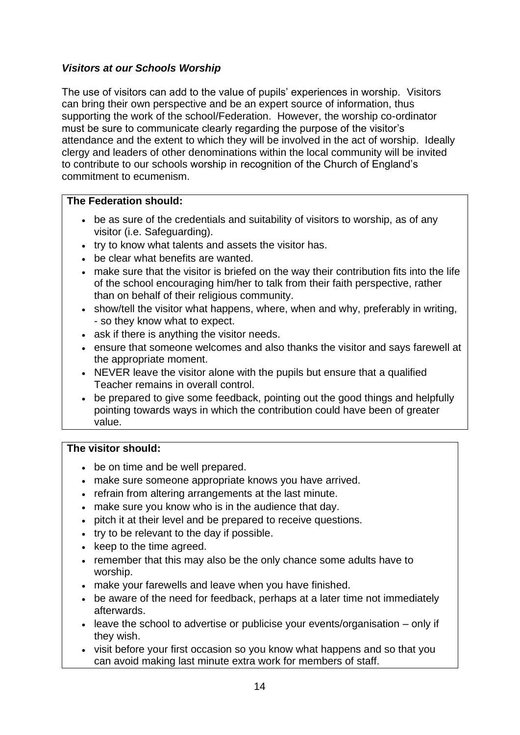# *Visitors at our Schools Worship*

The use of visitors can add to the value of pupils' experiences in worship. Visitors can bring their own perspective and be an expert source of information, thus supporting the work of the school/Federation. However, the worship co-ordinator must be sure to communicate clearly regarding the purpose of the visitor's attendance and the extent to which they will be involved in the act of worship. Ideally clergy and leaders of other denominations within the local community will be invited to contribute to our schools worship in recognition of the Church of England's commitment to ecumenism.

## **The Federation should:**

- be as sure of the credentials and suitability of visitors to worship, as of any visitor (i.e. Safeguarding).
- try to know what talents and assets the visitor has.
- be clear what benefits are wanted.
- make sure that the visitor is briefed on the way their contribution fits into the life of the school encouraging him/her to talk from their faith perspective, rather than on behalf of their religious community.
- show/tell the visitor what happens, where, when and why, preferably in writing, - so they know what to expect.
- ask if there is anything the visitor needs.
- ensure that someone welcomes and also thanks the visitor and says farewell at the appropriate moment.
- NEVER leave the visitor alone with the pupils but ensure that a qualified Teacher remains in overall control.
- be prepared to give some feedback, pointing out the good things and helpfully pointing towards ways in which the contribution could have been of greater value.

#### **The visitor should:**

- be on time and be well prepared.
- make sure someone appropriate knows you have arrived.
- refrain from altering arrangements at the last minute.
- make sure you know who is in the audience that day.
- pitch it at their level and be prepared to receive questions.
- try to be relevant to the day if possible.
- keep to the time agreed.
- remember that this may also be the only chance some adults have to worship.
- make your farewells and leave when you have finished.
- be aware of the need for feedback, perhaps at a later time not immediately afterwards.
- leave the school to advertise or publicise your events/organisation only if they wish.
- visit before your first occasion so you know what happens and so that you can avoid making last minute extra work for members of staff.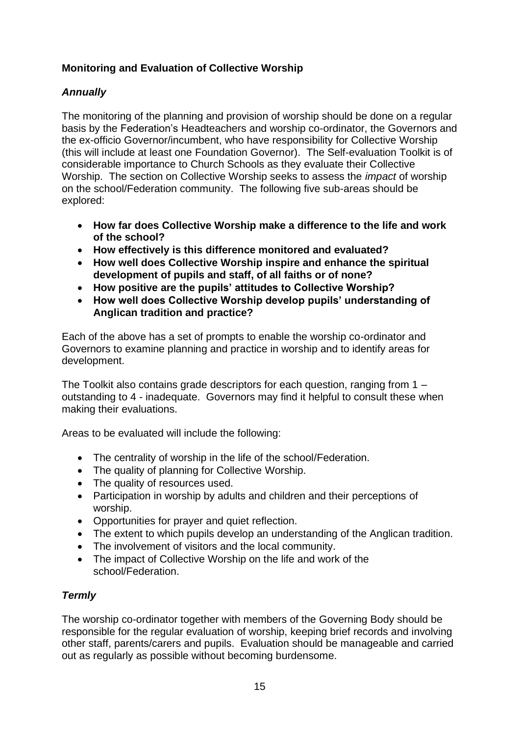# **Monitoring and Evaluation of Collective Worship**

# *Annually*

The monitoring of the planning and provision of worship should be done on a regular basis by the Federation's Headteachers and worship co-ordinator, the Governors and the ex-officio Governor/incumbent, who have responsibility for Collective Worship (this will include at least one Foundation Governor). The Self-evaluation Toolkit is of considerable importance to Church Schools as they evaluate their Collective Worship. The section on Collective Worship seeks to assess the *impact* of worship on the school/Federation community. The following five sub-areas should be explored:

- **How far does Collective Worship make a difference to the life and work of the school?**
- **How effectively is this difference monitored and evaluated?**
- **How well does Collective Worship inspire and enhance the spiritual development of pupils and staff, of all faiths or of none?**
- **How positive are the pupils' attitudes to Collective Worship?**
- **How well does Collective Worship develop pupils' understanding of Anglican tradition and practice?**

Each of the above has a set of prompts to enable the worship co-ordinator and Governors to examine planning and practice in worship and to identify areas for development.

The Toolkit also contains grade descriptors for each question, ranging from 1 – outstanding to 4 - inadequate. Governors may find it helpful to consult these when making their evaluations.

Areas to be evaluated will include the following:

- The centrality of worship in the life of the school/Federation.
- The quality of planning for Collective Worship.
- The quality of resources used.
- Participation in worship by adults and children and their perceptions of worship.
- Opportunities for prayer and quiet reflection.
- The extent to which pupils develop an understanding of the Anglican tradition.
- The involvement of visitors and the local community.
- The impact of Collective Worship on the life and work of the school/Federation.

# *Termly*

The worship co-ordinator together with members of the Governing Body should be responsible for the regular evaluation of worship, keeping brief records and involving other staff, parents/carers and pupils. Evaluation should be manageable and carried out as regularly as possible without becoming burdensome.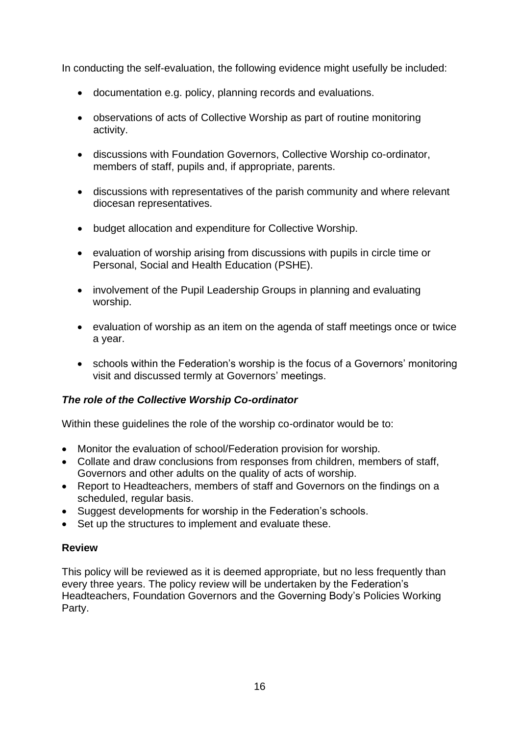In conducting the self-evaluation, the following evidence might usefully be included:

- documentation e.g. policy, planning records and evaluations.
- observations of acts of Collective Worship as part of routine monitoring activity.
- discussions with Foundation Governors, Collective Worship co-ordinator, members of staff, pupils and, if appropriate, parents.
- discussions with representatives of the parish community and where relevant diocesan representatives.
- budget allocation and expenditure for Collective Worship.
- evaluation of worship arising from discussions with pupils in circle time or Personal, Social and Health Education (PSHE).
- involvement of the Pupil Leadership Groups in planning and evaluating worship.
- evaluation of worship as an item on the agenda of staff meetings once or twice a year.
- schools within the Federation's worship is the focus of a Governors' monitoring visit and discussed termly at Governors' meetings.

## *The role of the Collective Worship Co-ordinator*

Within these guidelines the role of the worship co-ordinator would be to:

- Monitor the evaluation of school/Federation provision for worship.
- Collate and draw conclusions from responses from children, members of staff, Governors and other adults on the quality of acts of worship.
- Report to Headteachers, members of staff and Governors on the findings on a scheduled, regular basis.
- Suggest developments for worship in the Federation's schools.
- Set up the structures to implement and evaluate these.

#### **Review**

This policy will be reviewed as it is deemed appropriate, but no less frequently than every three years. The policy review will be undertaken by the Federation's Headteachers, Foundation Governors and the Governing Body's Policies Working Party.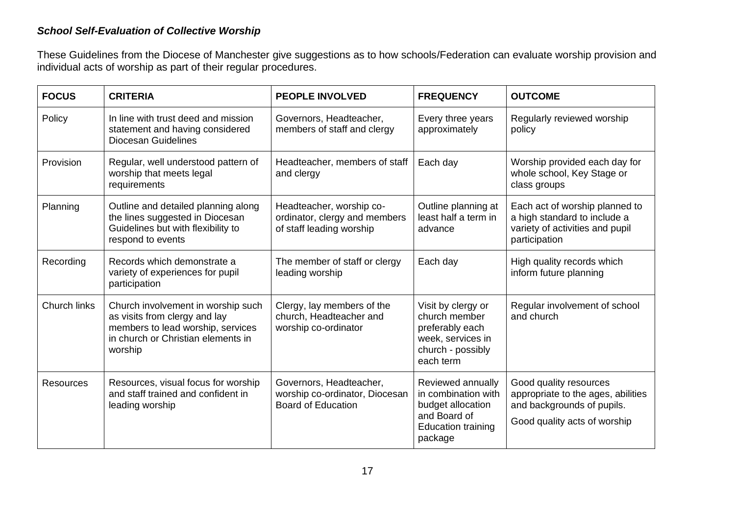## *School Self-Evaluation of Collective Worship*

These Guidelines from the Diocese of Manchester give suggestions as to how schools/Federation can evaluate worship provision and individual acts of worship as part of their regular procedures.

| <b>FOCUS</b>        | <b>CRITERIA</b>                                                                                                                                           | <b>PEOPLE INVOLVED</b>                                                                 | <b>FREQUENCY</b>                                                                                                      | <b>OUTCOME</b>                                                                                                             |
|---------------------|-----------------------------------------------------------------------------------------------------------------------------------------------------------|----------------------------------------------------------------------------------------|-----------------------------------------------------------------------------------------------------------------------|----------------------------------------------------------------------------------------------------------------------------|
| Policy              | In line with trust deed and mission<br>statement and having considered<br><b>Diocesan Guidelines</b>                                                      | Governors, Headteacher,<br>members of staff and clergy                                 | Every three years<br>approximately                                                                                    | Regularly reviewed worship<br>policy                                                                                       |
| Provision           | Regular, well understood pattern of<br>worship that meets legal<br>requirements                                                                           | Headteacher, members of staff<br>and clergy                                            | Each day                                                                                                              | Worship provided each day for<br>whole school, Key Stage or<br>class groups                                                |
| Planning            | Outline and detailed planning along<br>the lines suggested in Diocesan<br>Guidelines but with flexibility to<br>respond to events                         | Headteacher, worship co-<br>ordinator, clergy and members<br>of staff leading worship  | Outline planning at<br>least half a term in<br>advance                                                                | Each act of worship planned to<br>a high standard to include a<br>variety of activities and pupil<br>participation         |
| Recording           | Records which demonstrate a<br>variety of experiences for pupil<br>participation                                                                          | The member of staff or clergy<br>leading worship                                       | Each day                                                                                                              | High quality records which<br>inform future planning                                                                       |
| <b>Church links</b> | Church involvement in worship such<br>as visits from clergy and lay<br>members to lead worship, services<br>in church or Christian elements in<br>worship | Clergy, lay members of the<br>church, Headteacher and<br>worship co-ordinator          | Visit by clergy or<br>church member<br>preferably each<br>week, services in<br>church - possibly<br>each term         | Regular involvement of school<br>and church                                                                                |
| <b>Resources</b>    | Resources, visual focus for worship<br>and staff trained and confident in<br>leading worship                                                              | Governors, Headteacher,<br>worship co-ordinator, Diocesan<br><b>Board of Education</b> | Reviewed annually<br>in combination with<br>budget allocation<br>and Board of<br><b>Education training</b><br>package | Good quality resources<br>appropriate to the ages, abilities<br>and backgrounds of pupils.<br>Good quality acts of worship |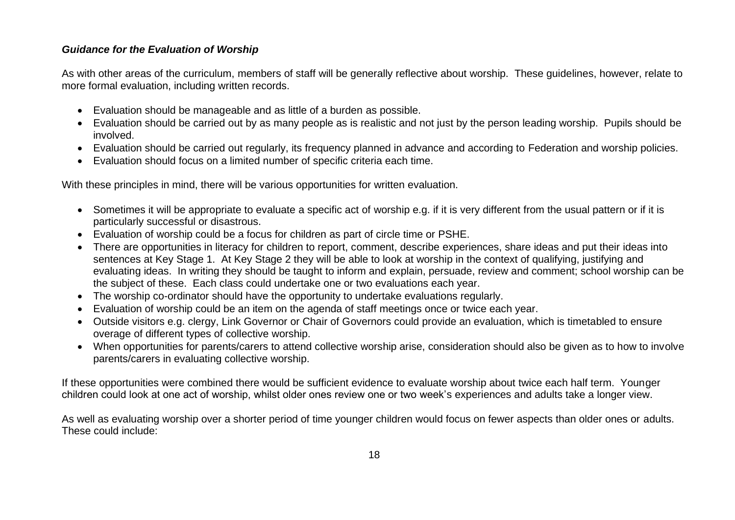#### *Guidance for the Evaluation of Worship*

As with other areas of the curriculum, members of staff will be generally reflective about worship. These guidelines, however, relate to more formal evaluation, including written records.

- Evaluation should be manageable and as little of a burden as possible.
- Evaluation should be carried out by as many people as is realistic and not just by the person leading worship. Pupils should be involved.
- Evaluation should be carried out regularly, its frequency planned in advance and according to Federation and worship policies.
- Evaluation should focus on a limited number of specific criteria each time.

With these principles in mind, there will be various opportunities for written evaluation.

- Sometimes it will be appropriate to evaluate a specific act of worship e.g. if it is very different from the usual pattern or if it is particularly successful or disastrous.
- Evaluation of worship could be a focus for children as part of circle time or PSHE.
- There are opportunities in literacy for children to report, comment, describe experiences, share ideas and put their ideas into sentences at Key Stage 1. At Key Stage 2 they will be able to look at worship in the context of qualifying, justifying and evaluating ideas. In writing they should be taught to inform and explain, persuade, review and comment; school worship can be the subject of these. Each class could undertake one or two evaluations each year.
- The worship co-ordinator should have the opportunity to undertake evaluations regularly.
- Evaluation of worship could be an item on the agenda of staff meetings once or twice each year.
- Outside visitors e.g. clergy, Link Governor or Chair of Governors could provide an evaluation, which is timetabled to ensure overage of different types of collective worship.
- When opportunities for parents/carers to attend collective worship arise, consideration should also be given as to how to involve parents/carers in evaluating collective worship.

If these opportunities were combined there would be sufficient evidence to evaluate worship about twice each half term. Younger children could look at one act of worship, whilst older ones review one or two week's experiences and adults take a longer view.

As well as evaluating worship over a shorter period of time younger children would focus on fewer aspects than older ones or adults. These could include: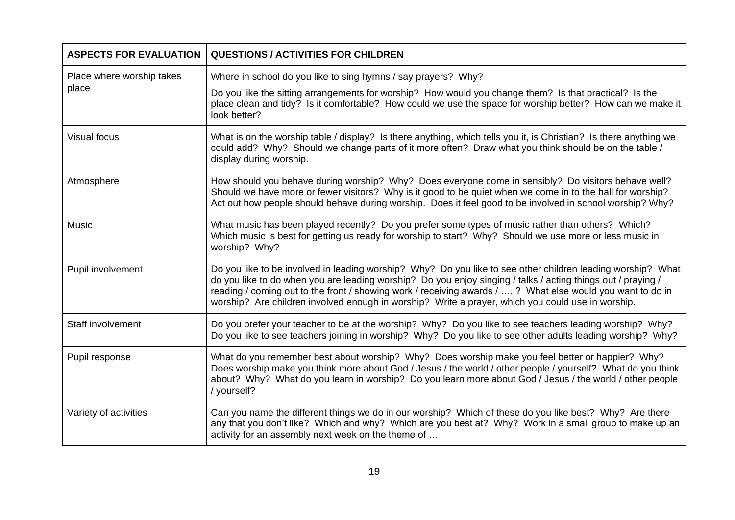| <b>ASPECTS FOR EVALUATION</b>      | <b>QUESTIONS / ACTIVITIES FOR CHILDREN</b>                                                                                                                                                                                                                                                                                                                                                                                                    |
|------------------------------------|-----------------------------------------------------------------------------------------------------------------------------------------------------------------------------------------------------------------------------------------------------------------------------------------------------------------------------------------------------------------------------------------------------------------------------------------------|
| Place where worship takes<br>place | Where in school do you like to sing hymns / say prayers? Why?                                                                                                                                                                                                                                                                                                                                                                                 |
|                                    | Do you like the sitting arrangements for worship? How would you change them? Is that practical? Is the<br>place clean and tidy? Is it comfortable? How could we use the space for worship better? How can we make it<br>look better?                                                                                                                                                                                                          |
| <b>Visual focus</b>                | What is on the worship table / display? Is there anything, which tells you it, is Christian? Is there anything we<br>could add? Why? Should we change parts of it more often? Draw what you think should be on the table /<br>display during worship.                                                                                                                                                                                         |
| Atmosphere                         | How should you behave during worship? Why? Does everyone come in sensibly? Do visitors behave well?<br>Should we have more or fewer visitors? Why is it good to be quiet when we come in to the hall for worship?<br>Act out how people should behave during worship. Does it feel good to be involved in school worship? Why?                                                                                                                |
| <b>Music</b>                       | What music has been played recently? Do you prefer some types of music rather than others? Which?<br>Which music is best for getting us ready for worship to start? Why? Should we use more or less music in<br>worship? Why?                                                                                                                                                                                                                 |
| Pupil involvement                  | Do you like to be involved in leading worship? Why? Do you like to see other children leading worship? What<br>do you like to do when you are leading worship? Do you enjoy singing / talks / acting things out / praying /<br>reading / coming out to the front / showing work / receiving awards / ? What else would you want to do in<br>worship? Are children involved enough in worship? Write a prayer, which you could use in worship. |
| Staff involvement                  | Do you prefer your teacher to be at the worship? Why? Do you like to see teachers leading worship? Why?<br>Do you like to see teachers joining in worship? Why? Do you like to see other adults leading worship? Why?                                                                                                                                                                                                                         |
| Pupil response                     | What do you remember best about worship? Why? Does worship make you feel better or happier? Why?<br>Does worship make you think more about God / Jesus / the world / other people / yourself? What do you think<br>about? Why? What do you learn in worship? Do you learn more about God / Jesus / the world / other people<br>/ yourself?                                                                                                    |
| Variety of activities              | Can you name the different things we do in our worship? Which of these do you like best? Why? Are there<br>any that you don't like? Which and why? Which are you best at? Why? Work in a small group to make up an<br>activity for an assembly next week on the theme of                                                                                                                                                                      |